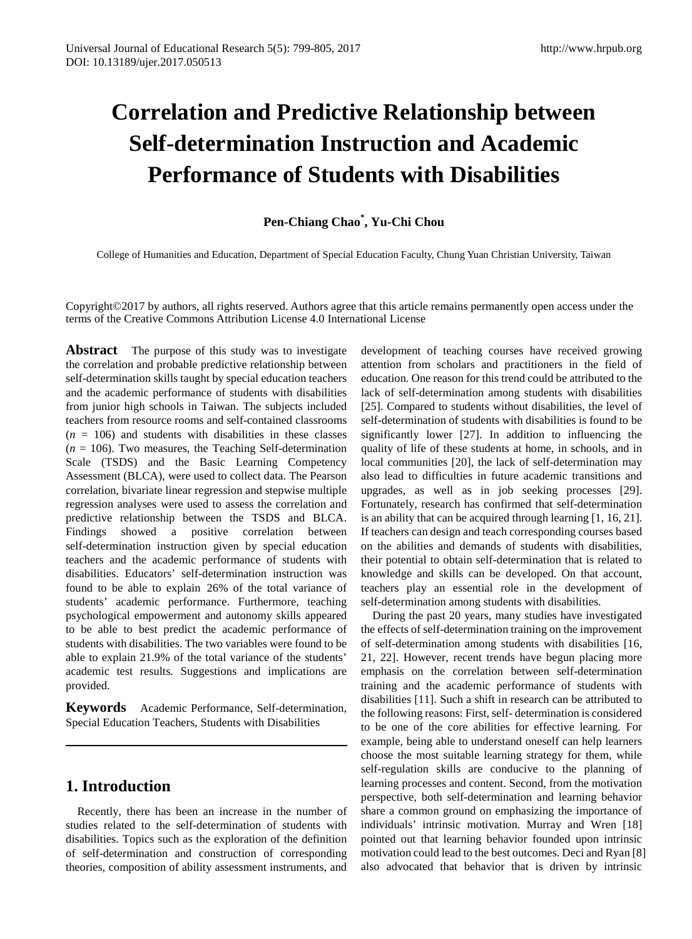# **Correlation and Predictive Relationship between Self-determination Instruction and Academic Performance of Students with Disabilities**

# **Pen-Chiang Chao\* , Yu-Chi Chou**

College of Humanities and Education, Department of Special Education Faculty, Chung Yuan Christian University, Taiwan

Copyright©2017 by authors, all rights reserved. Authors agree that this article remains permanently open access under the terms of the Creative Commons Attribution License 4.0 International License

**Abstract** The purpose of this study was to investigate the correlation and probable predictive relationship between self-determination skills taught by special education teachers and the academic performance of students with disabilities from junior high schools in Taiwan. The subjects included teachers from resource rooms and self-contained classrooms  $(n = 106)$  and students with disabilities in these classes  $(n = 106)$ . Two measures, the Teaching Self-determination Scale (TSDS) and the Basic Learning Competency Assessment (BLCA), were used to collect data. The Pearson correlation, bivariate linear regression and stepwise multiple regression analyses were used to assess the correlation and predictive relationship between the TSDS and BLCA. Findings showed a positive correlation between self-determination instruction given by special education teachers and the academic performance of students with disabilities. Educators' self-determination instruction was found to be able to explain 26% of the total variance of students' academic performance. Furthermore, teaching psychological empowerment and autonomy skills appeared to be able to best predict the academic performance of students with disabilities. The two variables were found to be able to explain 21.9% of the total variance of the students' academic test results. Suggestions and implications are provided.

**Keywords** Academic Performance, Self-determination, Special Education Teachers, Students with Disabilities

# **1. Introduction**

Recently, there has been an increase in the number of studies related to the self-determination of students with disabilities. Topics such as the exploration of the definition of self-determination and construction of corresponding theories, composition of ability assessment instruments, and development of teaching courses have received growing attention from scholars and practitioners in the field of education. One reason for this trend could be attributed to the lack of self-determination among students with disabilities [25]. Compared to students without disabilities, the level of self-determination of students with disabilities is found to be significantly lower [27]. In addition to influencing the quality of life of these students at home, in schools, and in local communities [20], the lack of self-determination may also lead to difficulties in future academic transitions and upgrades, as well as in job seeking processes [29]. Fortunately, research has confirmed that self-determination is an ability that can be acquired through learning [1, 16, 21]. If teachers can design and teach corresponding courses based on the abilities and demands of students with disabilities, their potential to obtain self-determination that is related to knowledge and skills can be developed. On that account, teachers play an essential role in the development of self-determination among students with disabilities.

During the past 20 years, many studies have investigated the effects of self-determination training on the improvement of self-determination among students with disabilities [16, 21, 22]. However, recent trends have begun placing more emphasis on the correlation between self-determination training and the academic performance of students with disabilities [11]. Such a shift in research can be attributed to the following reasons: First, self- determination is considered to be one of the core abilities for effective learning. For example, being able to understand oneself can help learners choose the most suitable learning strategy for them, while self-regulation skills are conducive to the planning of learning processes and content. Second, from the motivation perspective, both self-determination and learning behavior share a common ground on emphasizing the importance of individuals' intrinsic motivation. Murray and Wren [18] pointed out that learning behavior founded upon intrinsic motivation could lead to the best outcomes. Deci and Ryan [8] also advocated that behavior that is driven by intrinsic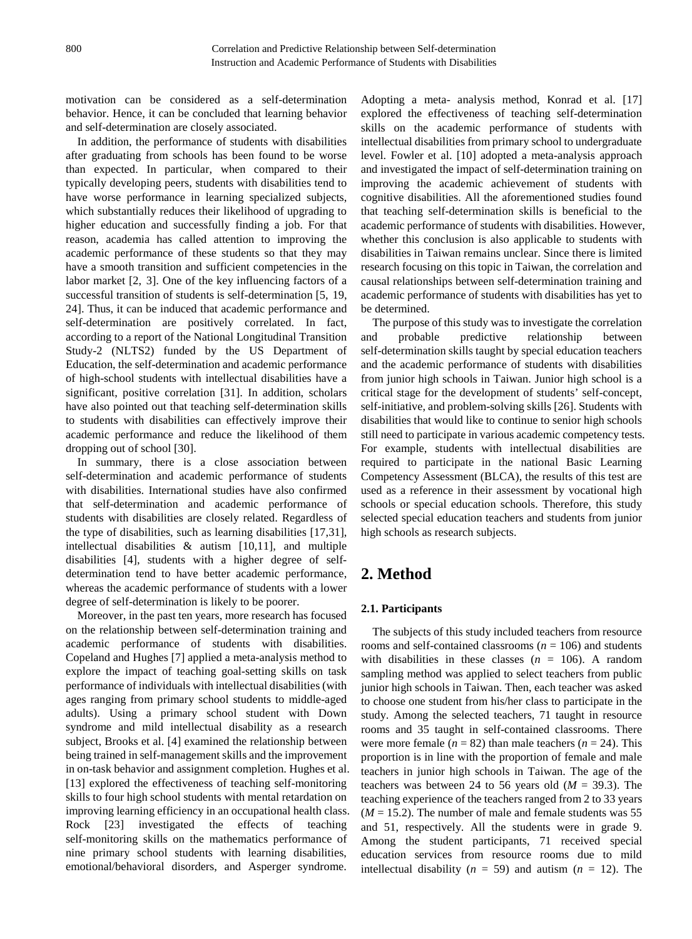motivation can be considered as a self-determination behavior. Hence, it can be concluded that learning behavior and self-determination are closely associated.

In addition, the performance of students with disabilities after graduating from schools has been found to be worse than expected. In particular, when compared to their typically developing peers, students with disabilities tend to have worse performance in learning specialized subjects, which substantially reduces their likelihood of upgrading to higher education and successfully finding a job. For that reason, academia has called attention to improving the academic performance of these students so that they may have a smooth transition and sufficient competencies in the labor market [2, 3]. One of the key influencing factors of a successful transition of students is self-determination [5, 19, 24]. Thus, it can be induced that academic performance and self-determination are positively correlated. In fact, according to a report of the National Longitudinal Transition Study-2 (NLTS2) funded by the US Department of Education, the self-determination and academic performance of high-school students with intellectual disabilities have a significant, positive correlation [31]. In addition, scholars have also pointed out that teaching self-determination skills to students with disabilities can effectively improve their academic performance and reduce the likelihood of them dropping out of school [30].

In summary, there is a close association between self-determination and academic performance of students with disabilities. International studies have also confirmed that self-determination and academic performance of students with disabilities are closely related. Regardless of the type of disabilities, such as learning disabilities [17,31], intellectual disabilities & autism [10,11], and multiple disabilities [4], students with a higher degree of selfdetermination tend to have better academic performance, whereas the academic performance of students with a lower degree of self-determination is likely to be poorer.

Moreover, in the past ten years, more research has focused on the relationship between self-determination training and academic performance of students with disabilities. Copeland and Hughes [7] applied a meta-analysis method to explore the impact of teaching goal-setting skills on task performance of individuals with intellectual disabilities (with ages ranging from primary school students to middle-aged adults). Using a primary school student with Down syndrome and mild intellectual disability as a research subject, Brooks et al. [4] examined the relationship between being trained in self-management skills and the improvement in on-task behavior and assignment completion. Hughes et al. [13] explored the effectiveness of teaching self-monitoring skills to four high school students with mental retardation on improving learning efficiency in an occupational health class. Rock [23] investigated the effects of teaching self-monitoring skills on the mathematics performance of nine primary school students with learning disabilities, emotional/behavioral disorders, and Asperger syndrome.

Adopting a meta- analysis method, Konrad et al. [17] explored the effectiveness of teaching self-determination skills on the academic performance of students with intellectual disabilities from primary school to undergraduate level. Fowler et al. [10] adopted a meta-analysis approach and investigated the impact of self-determination training on improving the academic achievement of students with cognitive disabilities. All the aforementioned studies found that teaching self-determination skills is beneficial to the academic performance of students with disabilities. However, whether this conclusion is also applicable to students with disabilities in Taiwan remains unclear. Since there is limited research focusing on this topic in Taiwan, the correlation and causal relationships between self-determination training and academic performance of students with disabilities has yet to be determined.

The purpose of this study was to investigate the correlation and probable predictive relationship between self-determination skills taught by special education teachers and the academic performance of students with disabilities from junior high schools in Taiwan. Junior high school is a critical stage for the development of students' self-concept, self-initiative, and problem-solving skills [26]. Students with disabilities that would like to continue to senior high schools still need to participate in various academic competency tests. For example, students with intellectual disabilities are required to participate in the national Basic Learning Competency Assessment (BLCA), the results of this test are used as a reference in their assessment by vocational high schools or special education schools. Therefore, this study selected special education teachers and students from junior high schools as research subjects.

# **2. Method**

#### **2.1. Participants**

The subjects of this study included teachers from resource rooms and self-contained classrooms ( $n = 106$ ) and students with disabilities in these classes  $(n = 106)$ . A random sampling method was applied to select teachers from public junior high schools in Taiwan. Then, each teacher was asked to choose one student from his/her class to participate in the study. Among the selected teachers, 71 taught in resource rooms and 35 taught in self-contained classrooms. There were more female  $(n = 82)$  than male teachers  $(n = 24)$ . This proportion is in line with the proportion of female and male teachers in junior high schools in Taiwan. The age of the teachers was between 24 to 56 years old  $(M = 39.3)$ . The teaching experience of the teachers ranged from 2 to 33 years  $(M = 15.2)$ . The number of male and female students was 55 and 51, respectively. All the students were in grade 9. Among the student participants, 71 received special education services from resource rooms due to mild intellectual disability ( $n = 59$ ) and autism ( $n = 12$ ). The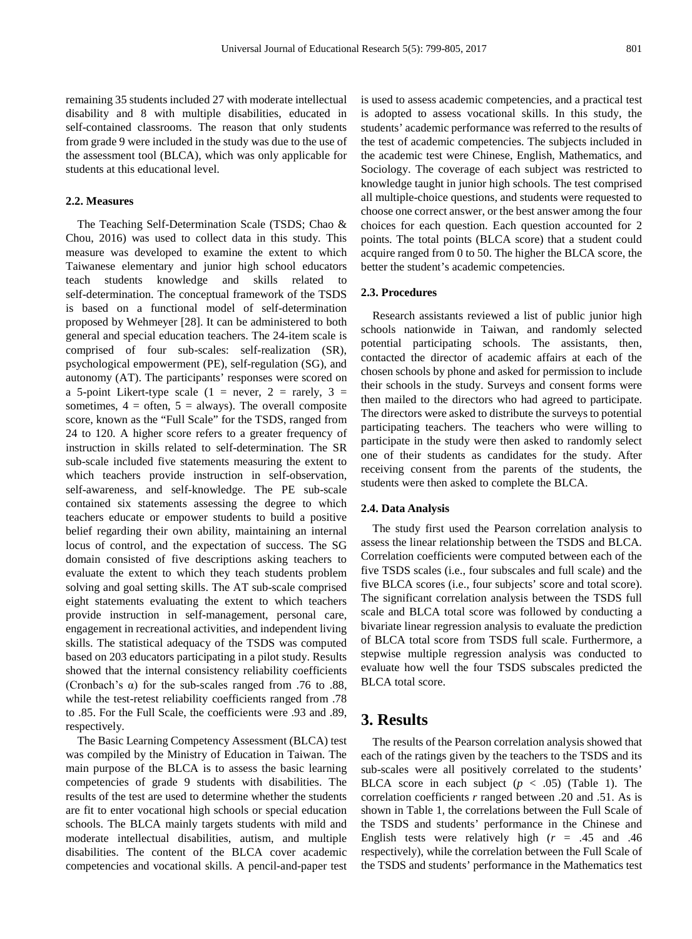remaining 35 students included 27 with moderate intellectual disability and 8 with multiple disabilities, educated in self-contained classrooms. The reason that only students from grade 9 were included in the study was due to the use of the assessment tool (BLCA), which was only applicable for students at this educational level.

#### **2.2. Measures**

The Teaching Self-Determination Scale (TSDS; Chao & Chou, 2016) was used to collect data in this study. This measure was developed to examine the extent to which Taiwanese elementary and junior high school educators teach students knowledge and skills related to self-determination. The conceptual framework of the TSDS is based on a functional model of self-determination proposed by Wehmeyer [28]. It can be administered to both general and special education teachers. The 24-item scale is comprised of four sub-scales: self-realization (SR), psychological empowerment (PE), self-regulation (SG), and autonomy (AT). The participants' responses were scored on a 5-point Likert-type scale (1 = never, 2 = rarely, 3 = sometimes,  $4 =$  often,  $5 =$  always). The overall composite score, known as the "Full Scale" for the TSDS, ranged from 24 to 120. A higher score refers to a greater frequency of instruction in skills related to self-determination. The SR sub-scale included five statements measuring the extent to which teachers provide instruction in self-observation, self-awareness, and self-knowledge. The PE sub-scale contained six statements assessing the degree to which teachers educate or empower students to build a positive belief regarding their own ability, maintaining an internal locus of control, and the expectation of success. The SG domain consisted of five descriptions asking teachers to evaluate the extent to which they teach students problem solving and goal setting skills. The AT sub-scale comprised eight statements evaluating the extent to which teachers provide instruction in self-management, personal care, engagement in recreational activities, and independent living skills. The statistical adequacy of the TSDS was computed based on 203 educators participating in a pilot study. Results showed that the internal consistency reliability coefficients (Cronbach's α) for the sub-scales ranged from .76 to .88, while the test-retest reliability coefficients ranged from .78 to .85. For the Full Scale, the coefficients were .93 and .89, respectively.

The Basic Learning Competency Assessment (BLCA) test was compiled by the Ministry of Education in Taiwan. The main purpose of the BLCA is to assess the basic learning competencies of grade 9 students with disabilities. The results of the test are used to determine whether the students are fit to enter vocational high schools or special education schools. The BLCA mainly targets students with mild and moderate intellectual disabilities, autism, and multiple disabilities. The content of the BLCA cover academic competencies and vocational skills. A pencil-and-paper test

is used to assess academic competencies, and a practical test is adopted to assess vocational skills. In this study, the students' academic performance was referred to the results of the test of academic competencies. The subjects included in the academic test were Chinese, English, Mathematics, and Sociology. The coverage of each subject was restricted to knowledge taught in junior high schools. The test comprised all multiple-choice questions, and students were requested to choose one correct answer, or the best answer among the four choices for each question. Each question accounted for 2 points. The total points (BLCA score) that a student could acquire ranged from 0 to 50. The higher the BLCA score, the better the student's academic competencies.

#### **2.3. Procedures**

Research assistants reviewed a list of public junior high schools nationwide in Taiwan, and randomly selected potential participating schools. The assistants, then, contacted the director of academic affairs at each of the chosen schools by phone and asked for permission to include their schools in the study. Surveys and consent forms were then mailed to the directors who had agreed to participate. The directors were asked to distribute the surveys to potential participating teachers. The teachers who were willing to participate in the study were then asked to randomly select one of their students as candidates for the study. After receiving consent from the parents of the students, the students were then asked to complete the BLCA.

#### **2.4. Data Analysis**

The study first used the Pearson correlation analysis to assess the linear relationship between the TSDS and BLCA. Correlation coefficients were computed between each of the five TSDS scales (i.e., four subscales and full scale) and the five BLCA scores (i.e., four subjects' score and total score). The significant correlation analysis between the TSDS full scale and BLCA total score was followed by conducting a bivariate linear regression analysis to evaluate the prediction of BLCA total score from TSDS full scale. Furthermore, a stepwise multiple regression analysis was conducted to evaluate how well the four TSDS subscales predicted the BLCA total score.

## **3. Results**

The results of the Pearson correlation analysis showed that each of the ratings given by the teachers to the TSDS and its sub-scales were all positively correlated to the students' BLCA score in each subject  $(p < .05)$  (Table 1). The correlation coefficients *r* ranged between .20 and .51. As is shown in Table 1, the correlations between the Full Scale of the TSDS and students' performance in the Chinese and English tests were relatively high (*r* = .45 and .46 respectively), while the correlation between the Full Scale of the TSDS and students' performance in the Mathematics test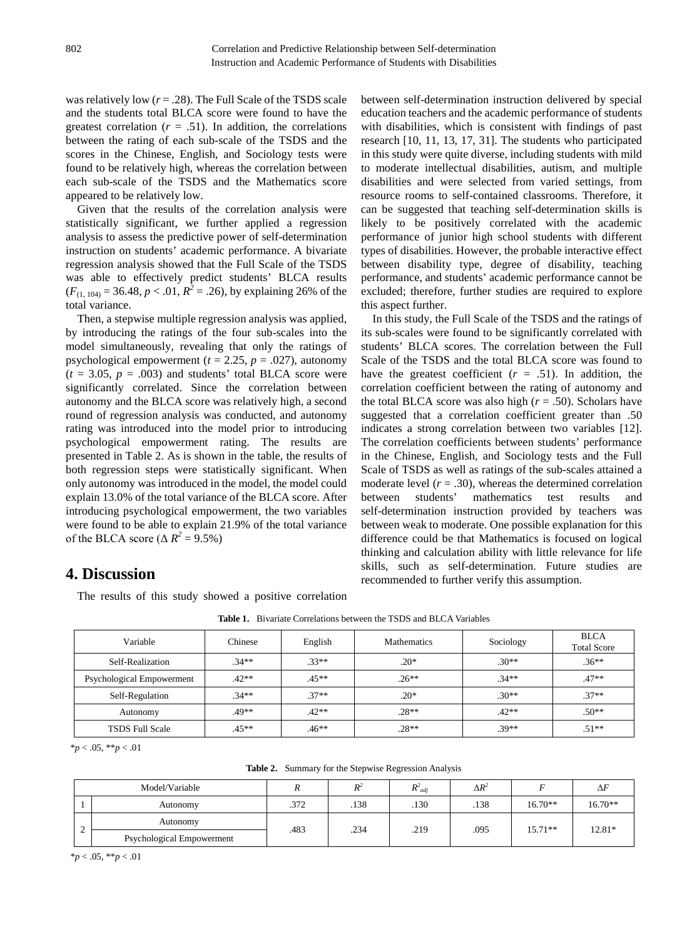was relatively low  $(r = .28)$ . The Full Scale of the TSDS scale and the students total BLCA score were found to have the greatest correlation  $(r = .51)$ . In addition, the correlations between the rating of each sub-scale of the TSDS and the scores in the Chinese, English, and Sociology tests were found to be relatively high, whereas the correlation between each sub-scale of the TSDS and the Mathematics score appeared to be relatively low.

Given that the results of the correlation analysis were statistically significant, we further applied a regression analysis to assess the predictive power of self-determination instruction on students' academic performance. A bivariate regression analysis showed that the Full Scale of the TSDS was able to effectively predict students' BLCA results  $(F_{(1, 104)} = 36.48, p < .01, R^2 = .26)$ , by explaining 26% of the total variance.

Then, a stepwise multiple regression analysis was applied, by introducing the ratings of the four sub-scales into the model simultaneously, revealing that only the ratings of psychological empowerment ( $t = 2.25$ ,  $p = .027$ ), autonomy  $(t = 3.05, p = .003)$  and students' total BLCA score were significantly correlated. Since the correlation between autonomy and the BLCA score was relatively high, a second round of regression analysis was conducted, and autonomy rating was introduced into the model prior to introducing psychological empowerment rating. The results are presented in Table 2. As is shown in the table, the results of both regression steps were statistically significant. When only autonomy was introduced in the model, the model could explain 13.0% of the total variance of the BLCA score. After introducing psychological empowerment, the two variables were found to be able to explain 21.9% of the total variance of the BLCA score ( $\Delta R^2$  = 9.5%)

between self-determination instruction delivered by special education teachers and the academic performance of students with disabilities, which is consistent with findings of past research [10, 11, 13, 17, 31]. The students who participated in this study were quite diverse, including students with mild to moderate intellectual disabilities, autism, and multiple disabilities and were selected from varied settings, from resource rooms to self-contained classrooms. Therefore, it can be suggested that teaching self-determination skills is likely to be positively correlated with the academic performance of junior high school students with different types of disabilities. However, the probable interactive effect between disability type, degree of disability, teaching performance, and students' academic performance cannot be excluded; therefore, further studies are required to explore this aspect further.

In this study, the Full Scale of the TSDS and the ratings of its sub-scales were found to be significantly correlated with students' BLCA scores. The correlation between the Full Scale of the TSDS and the total BLCA score was found to have the greatest coefficient  $(r = .51)$ . In addition, the correlation coefficient between the rating of autonomy and the total BLCA score was also high  $(r = .50)$ . Scholars have suggested that a correlation coefficient greater than .50 indicates a strong correlation between two variables [12]. The correlation coefficients between students' performance in the Chinese, English, and Sociology tests and the Full Scale of TSDS as well as ratings of the sub-scales attained a moderate level  $(r = .30)$ , whereas the determined correlation between students' mathematics test results and self-determination instruction provided by teachers was between weak to moderate. One possible explanation for this difference could be that Mathematics is focused on logical thinking and calculation ability with little relevance for life skills, such as self-determination. Future studies are recommended to further verify this assumption.

# **4. Discussion**

The results of this study showed a positive correlation

| Variable                  | Chinese | English | <b>Mathematics</b> | Sociology | <b>BLCA</b><br><b>Total Score</b> |
|---------------------------|---------|---------|--------------------|-----------|-----------------------------------|
| Self-Realization          | $.34**$ | $.33**$ | $.20*$             | $.30**$   | $.36**$                           |
| Psychological Empowerment | $.42**$ | $.45**$ | $.26**$            | $34**$    | $.47**$                           |
| Self-Regulation           | $.34**$ | $.37**$ | $.20*$             | $.30**$   | $.37**$                           |
| Autonomy                  | $.49**$ | $.42**$ | $.28**$            | $.42**$   | $.50**$                           |
| <b>TSDS Full Scale</b>    | $.45**$ | $.46**$ | $.28**$            | $39**$    | $.51**$                           |

\**p* < .05, \*\**p* < .01

**Table 2.** Summary for the Stepwise Regression Analysis

| Model/Variable |                           |      | D-   | $R^2$ <sub>adi</sub> | $\Delta R^2$ |           | $\Delta F$ |
|----------------|---------------------------|------|------|----------------------|--------------|-----------|------------|
|                | Autonomy                  | .372 | .138 | .130                 | .138         | $16.70**$ | $16.70**$  |
| ∼              | Autonomy                  | .483 | .234 | .219                 | .095         | $15.71**$ | 12.81*     |
|                | Psychological Empowerment |      |      |                      |              |           |            |

\**p* < .05, \*\**p* < .01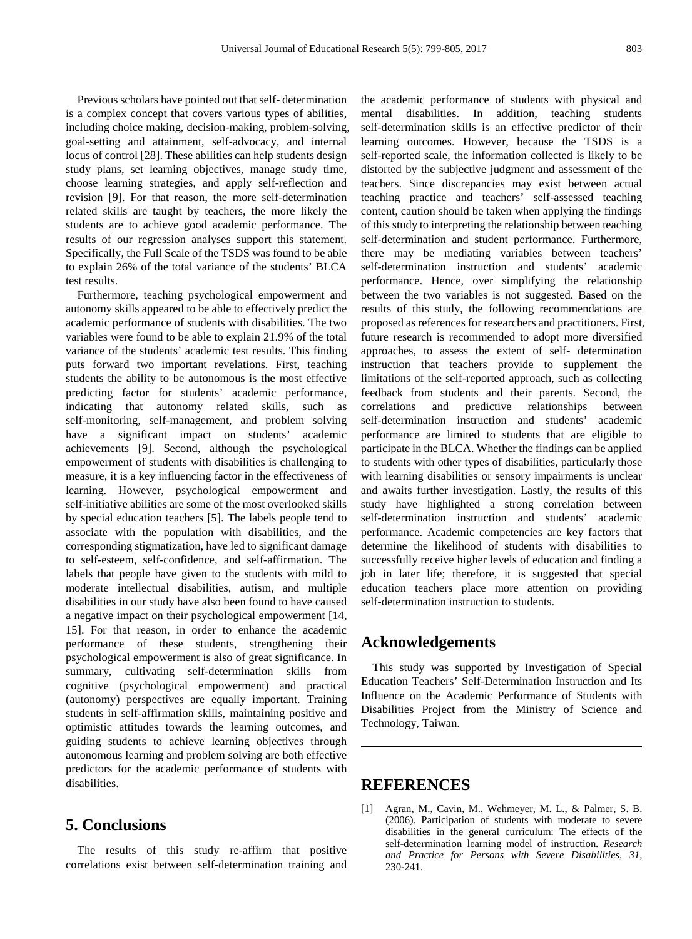Previous scholars have pointed out that self- determination is a complex concept that covers various types of abilities, including choice making, decision-making, problem-solving, goal-setting and attainment, self-advocacy, and internal locus of control [28]. These abilities can help students design study plans, set learning objectives, manage study time, choose learning strategies, and apply self-reflection and revision [9]. For that reason, the more self-determination related skills are taught by teachers, the more likely the students are to achieve good academic performance. The results of our regression analyses support this statement. Specifically, the Full Scale of the TSDS was found to be able to explain 26% of the total variance of the students' BLCA test results.

Furthermore, teaching psychological empowerment and autonomy skills appeared to be able to effectively predict the academic performance of students with disabilities. The two variables were found to be able to explain 21.9% of the total variance of the students' academic test results. This finding puts forward two important revelations. First, teaching students the ability to be autonomous is the most effective predicting factor for students' academic performance, indicating that autonomy related skills, such as self-monitoring, self-management, and problem solving have a significant impact on students' academic achievements [9]. Second, although the psychological empowerment of students with disabilities is challenging to measure, it is a key influencing factor in the effectiveness of learning. However, psychological empowerment and self-initiative abilities are some of the most overlooked skills by special education teachers [5]. The labels people tend to associate with the population with disabilities, and the corresponding stigmatization, have led to significant damage to self-esteem, self-confidence, and self-affirmation. The labels that people have given to the students with mild to moderate intellectual disabilities, autism, and multiple disabilities in our study have also been found to have caused a negative impact on their psychological empowerment [14, 15]. For that reason, in order to enhance the academic performance of these students, strengthening their psychological empowerment is also of great significance. In summary, cultivating self-determination skills from cognitive (psychological empowerment) and practical (autonomy) perspectives are equally important. Training students in self-affirmation skills, maintaining positive and optimistic attitudes towards the learning outcomes, and guiding students to achieve learning objectives through autonomous learning and problem solving are both effective predictors for the academic performance of students with disabilities.

# **5. Conclusions**

The results of this study re-affirm that positive correlations exist between self-determination training and

the academic performance of students with physical and mental disabilities. In addition, teaching students self-determination skills is an effective predictor of their learning outcomes. However, because the TSDS is a self-reported scale, the information collected is likely to be distorted by the subjective judgment and assessment of the teachers. Since discrepancies may exist between actual teaching practice and teachers' self-assessed teaching content, caution should be taken when applying the findings of this study to interpreting the relationship between teaching self-determination and student performance. Furthermore, there may be mediating variables between teachers' self-determination instruction and students' academic performance. Hence, over simplifying the relationship between the two variables is not suggested. Based on the results of this study, the following recommendations are proposed as references for researchers and practitioners. First, future research is recommended to adopt more diversified approaches, to assess the extent of self- determination instruction that teachers provide to supplement the limitations of the self-reported approach, such as collecting feedback from students and their parents. Second, the correlations and predictive relationships between self-determination instruction and students' academic performance are limited to students that are eligible to participate in the BLCA. Whether the findings can be applied to students with other types of disabilities, particularly those with learning disabilities or sensory impairments is unclear and awaits further investigation. Lastly, the results of this study have highlighted a strong correlation between self-determination instruction and students' academic performance. Academic competencies are key factors that determine the likelihood of students with disabilities to successfully receive higher levels of education and finding a job in later life; therefore, it is suggested that special education teachers place more attention on providing self-determination instruction to students.

## **Acknowledgements**

This study was supported by Investigation of Special Education Teachers' Self-Determination Instruction and Its Influence on the Academic Performance of Students with Disabilities Project from the Ministry of Science and Technology, Taiwan.

## **REFERENCES**

[1] Agran, M., Cavin, M., Wehmeyer, M. L., & Palmer, S. B. (2006). Participation of students with moderate to severe disabilities in the general curriculum: The effects of the self-determination learning model of instruction. *Research and Practice for Persons with Severe Disabilities, 31,* 230-241.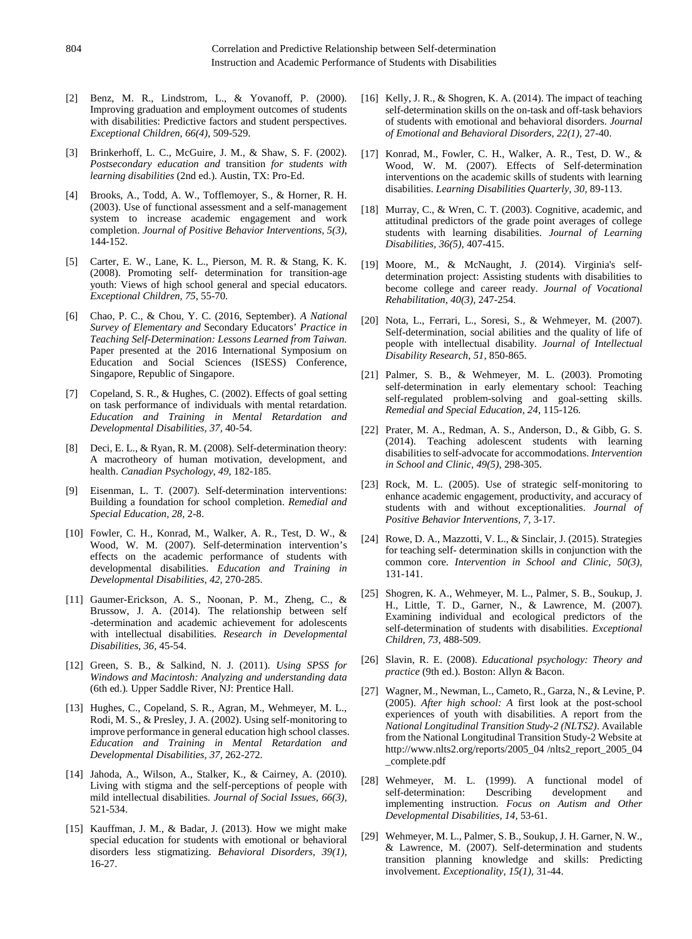- [2] Benz, M. R., Lindstrom, L., & Yovanoff, P. (2000). Improving graduation and employment outcomes of students with disabilities: Predictive factors and student perspectives. *Exceptional Children, 66(4),* 509-529.
- [3] Brinkerhoff, L. C., McGuire, J. M., & Shaw, S. F. (2002). *Postsecondary education and* transition *for students with learning disabilities* (2nd ed.). Austin, TX: Pro-Ed.
- [4] Brooks, A., Todd, A. W., Tofflemoyer, S., & Horner, R. H. (2003). Use of functional assessment and a self-management system to increase academic engagement and work completion. *Journal of Positive Behavior Interventions, 5(3),* 144-152.
- [5] Carter, E. W., Lane, K. L., Pierson, M. R. & Stang, K. K. (2008). Promoting self- determination for transition-age youth: Views of high school general and special educators. *Exceptional Children, 75,* 55-70.
- [6] Chao, P. C., & Chou, Y. C. (2016, September). *A National Survey of Elementary and* Secondary Educators' *Practice in Teaching Self-Determination: Lessons Learned from Taiwan.* Paper presented at the 2016 International Symposium on Education and Social Sciences (ISESS) Conference, Singapore, Republic of Singapore.
- [7] Copeland, S. R., & Hughes, C. (2002). Effects of goal setting on task performance of individuals with mental retardation. *Education and Training in Mental Retardation and Developmental Disabilities, 37,* 40-54.
- [8] Deci, E. L., & Ryan, R. M. (2008). Self-determination theory: A macrotheory of human motivation, development, and health. *Canadian Psychology, 49,* 182-185.
- [9] Eisenman, L. T. (2007). Self-determination interventions: Building a foundation for school completion. *Remedial and Special Education, 28,* 2-8.
- [10] Fowler, C. H., Konrad, M., Walker, A. R., Test, D. W., & Wood, W. M. (2007). Self-determination intervention's effects on the academic performance of students with developmental disabilities. *Education and Training in Developmental Disabilities, 42,* 270-285.
- [11] Gaumer-Erickson, A. S., Noonan, P. M., Zheng, C., & Brussow, J. A. (2014). The relationship between self -determination and academic achievement for adolescents with intellectual disabilities. *Research in Developmental Disabilities, 36,* 45-54.
- [12] Green, S. B., & Salkind, N. J. (2011). *Using SPSS for Windows and Macintosh: Analyzing and understanding data* (6th ed.)*.* Upper Saddle River, NJ: Prentice Hall.
- [13] Hughes, C., Copeland, S. R., Agran, M., Wehmeyer, M. L., Rodi, M. S., & Presley, J. A. (2002). Using self-monitoring to improve performance in general education high school classes. *Education and Training in Mental Retardation and Developmental Disabilities, 37,* 262-272.
- [14] Jahoda, A., Wilson, A., Stalker, K., & Cairney, A. (2010). Living with stigma and the self-perceptions of people with mild intellectual disabilities. *Journal of Social Issues, 66(3),*  521-534.
- [15] Kauffman, J. M., & Badar, J. (2013). How we might make special education for students with emotional or behavioral disorders less stigmatizing. *Behavioral Disorders, 39(1),*  16-27.
- [16] Kelly, J. R., & Shogren, K. A. (2014). The impact of teaching self-determination skills on the on-task and off-task behaviors of students with emotional and behavioral disorders. *Journal of Emotional and Behavioral Disorders, 22(1),* 27-40.
- [17] Konrad, M., Fowler, C. H., Walker, A. R., Test, D. W., & Wood, W. M. (2007). Effects of Self-determination interventions on the academic skills of students with learning disabilities. *Learning Disabilities Quarterly, 30,* 89-113.
- [18] Murray, C., & Wren, C. T. (2003). Cognitive, academic, and attitudinal predictors of the grade point averages of college students with learning disabilities. *Journal of Learning Disabilities, 36(5),* 407-415.
- [19] Moore, M., & McNaught, J. (2014). Virginia's selfdetermination project: Assisting students with disabilities to become college and career ready. *Journal of Vocational Rehabilitation, 40(3),* 247-254.
- [20] Nota, L., Ferrari, L., Soresi, S., & Wehmeyer, M. (2007). Self-determination, social abilities and the quality of life of people with intellectual disability. *Journal of Intellectual Disability Research, 51,* 850-865.
- [21] Palmer, S. B., & Wehmeyer, M. L. (2003). Promoting self-determination in early elementary school: Teaching self-regulated problem-solving and goal-setting skills. *Remedial and Special Education, 24,* 115-126.
- [22] Prater, M. A., Redman, A. S., Anderson, D., & Gibb, G. S. (2014). Teaching adolescent students with learning disabilities to self-advocate for accommodations. *Intervention in School and Clinic, 49(5),* 298-305.
- [23] Rock, M. L. (2005). Use of strategic self-monitoring to enhance academic engagement, productivity, and accuracy of students with and without exceptionalities. *Journal of Positive Behavior Interventions, 7,* 3-17.
- [24] Rowe, D. A., Mazzotti, V. L., & Sinclair, J. (2015). Strategies for teaching self- determination skills in conjunction with the common core. *Intervention in School and Clinic, 50(3),* 131-141.
- [25] Shogren, K. A., Wehmeyer, M. L., Palmer, S. B., Soukup, J. H., Little, T. D., Garner, N., & Lawrence, M. (2007). Examining individual and ecological predictors of the self-determination of students with disabilities. *Exceptional Children, 73*, 488-509.
- [26] Slavin, R. E. (2008). *Educational psychology: Theory and practice* (9th ed.). Boston: Allyn & Bacon.
- [27] Wagner, M., Newman, L., Cameto, R., Garza, N., & Levine, P. (2005). *After high school: A* first look at the post-school experiences of youth with disabilities. A report from the *National Longitudinal Transition Study-2 (NLTS2)*. Available from the National Longitudinal Transition Study-2 Website at http://www.nlts2.org/reports/2005\_04 /nlts2\_report\_2005\_04 \_complete.pdf
- [28] Wehmeyer, M. L. (1999). A functional model of self-determination: Describing development and implementing instruction. *Focus on Autism and Other Developmental Disabilities, 14,* 53-61.
- [29] Wehmeyer, M. L., Palmer, S. B., Soukup, J. H. Garner, N. W., & Lawrence, M. (2007). Self-determination and students transition planning knowledge and skills: Predicting involvement. *Exceptionality, 15(1),* 31-44.